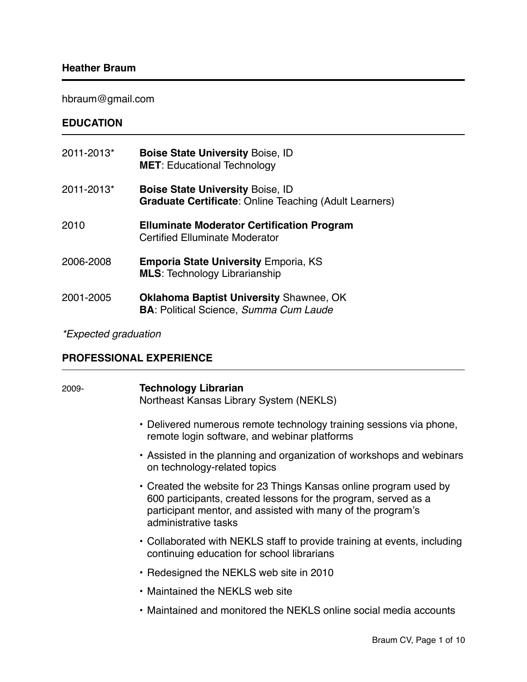## **Heather Braum**

hbraum@gmail.com

# **EDUCATION**

| 2011-2013* | <b>Boise State University Boise, ID</b><br><b>MET:</b> Educational Technology                            |
|------------|----------------------------------------------------------------------------------------------------------|
| 2011-2013* | <b>Boise State University Boise, ID</b><br><b>Graduate Certificate: Online Teaching (Adult Learners)</b> |
| 2010       | <b>Elluminate Moderator Certification Program</b><br><b>Certified Elluminate Moderator</b>               |
| 2006-2008  | <b>Emporia State University Emporia, KS</b><br><b>MLS: Technology Librarianship</b>                      |
| 2001-2005  | <b>Oklahoma Baptist University Shawnee, OK</b><br><b>BA: Political Science, Summa Cum Laude</b>          |

# *\*Expected graduation*

## **PROFESSIONAL EXPERIENCE**

| 2009- | <b>Technology Librarian</b><br>Northeast Kansas Library System (NEKLS)                                                                                                                                                     |
|-------|----------------------------------------------------------------------------------------------------------------------------------------------------------------------------------------------------------------------------|
|       | • Delivered numerous remote technology training sessions via phone,<br>remote login software, and webinar platforms                                                                                                        |
|       | • Assisted in the planning and organization of workshops and webinars<br>on technology-related topics                                                                                                                      |
|       | • Created the website for 23 Things Kansas online program used by<br>600 participants, created lessons for the program, served as a<br>participant mentor, and assisted with many of the program's<br>administrative tasks |
|       | • Collaborated with NEKLS staff to provide training at events, including<br>continuing education for school librarians                                                                                                     |
|       | • Redesigned the NEKLS web site in 2010                                                                                                                                                                                    |
|       | • Maintained the NEKLS web site                                                                                                                                                                                            |
|       | • Maintained and monitored the NEKLS online social media accounts                                                                                                                                                          |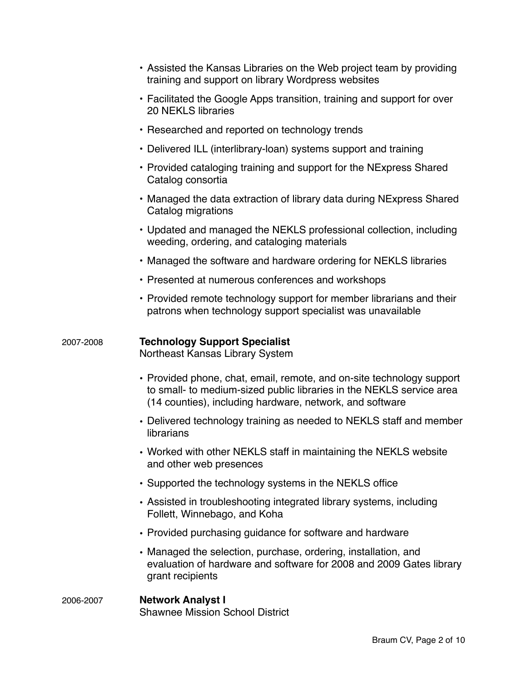|           | • Assisted the Kansas Libraries on the Web project team by providing<br>training and support on library Wordpress websites                                                                                |
|-----------|-----------------------------------------------------------------------------------------------------------------------------------------------------------------------------------------------------------|
|           | • Facilitated the Google Apps transition, training and support for over<br><b>20 NEKLS libraries</b>                                                                                                      |
|           | • Researched and reported on technology trends                                                                                                                                                            |
|           | • Delivered ILL (interlibrary-loan) systems support and training                                                                                                                                          |
|           | • Provided cataloging training and support for the NExpress Shared<br>Catalog consortia                                                                                                                   |
|           | • Managed the data extraction of library data during NExpress Shared<br>Catalog migrations                                                                                                                |
|           | • Updated and managed the NEKLS professional collection, including<br>weeding, ordering, and cataloging materials                                                                                         |
|           | • Managed the software and hardware ordering for NEKLS libraries                                                                                                                                          |
|           | • Presented at numerous conferences and workshops                                                                                                                                                         |
|           | • Provided remote technology support for member librarians and their<br>patrons when technology support specialist was unavailable                                                                        |
| 2007-2008 | <b>Technology Support Specialist</b><br>Northeast Kansas Library System                                                                                                                                   |
|           | • Provided phone, chat, email, remote, and on-site technology support<br>to small- to medium-sized public libraries in the NEKLS service area<br>(14 counties), including hardware, network, and software |
|           | • Delivered technology training as needed to NEKLS staff and member<br>librarians                                                                                                                         |
|           | • Worked with other NEKLS staff in maintaining the NEKLS website<br>and other web presences                                                                                                               |
|           | • Supported the technology systems in the NEKLS office                                                                                                                                                    |
|           | • Assisted in troubleshooting integrated library systems, including<br>Follett, Winnebago, and Koha                                                                                                       |
|           | • Provided purchasing guidance for software and hardware                                                                                                                                                  |
|           | • Managed the selection, purchase, ordering, installation, and<br>evaluation of hardware and software for 2008 and 2009 Gates library<br>grant recipients                                                 |
| 2006-2007 | <b>Network Analyst I</b><br><b>Shawnee Mission School District</b>                                                                                                                                        |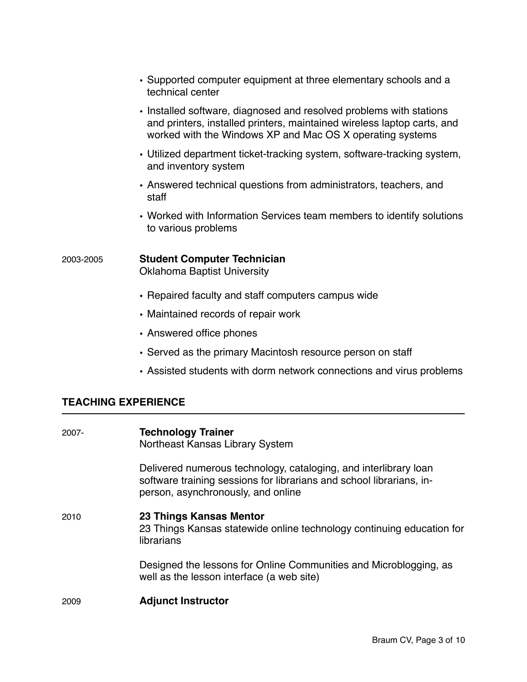|           | • Supported computer equipment at three elementary schools and a<br>technical center                                                                                                                                              |
|-----------|-----------------------------------------------------------------------------------------------------------------------------------------------------------------------------------------------------------------------------------|
|           | • Installed software, diagnosed and resolved problems with stations<br>and printers, installed printers, maintained wireless laptop carts, and<br>worked with the Windows XP and Mac OS X operating systems                       |
|           | • Utilized department ticket-tracking system, software-tracking system,<br>and inventory system                                                                                                                                   |
|           | • Answered technical questions from administrators, teachers, and<br>staff                                                                                                                                                        |
|           | • Worked with Information Services team members to identify solutions<br>to various problems                                                                                                                                      |
| 2003-2005 | <b>Student Computer Technician</b><br><b>Oklahoma Baptist University</b>                                                                                                                                                          |
|           | • Repaired faculty and staff computers campus wide                                                                                                                                                                                |
|           | • Maintained records of repair work                                                                                                                                                                                               |
|           | • Answered office phones                                                                                                                                                                                                          |
|           | $\bigcap$ and an arbitrary distribution of $M$ and the set of the set of the set of the set of the set of the set of the set of the set of the set of the set of the set of the set of the set of the set of the set of the set o |

• Served as the primary Macintosh resource person on staff

# • Assisted students with dorm network connections and virus problems

# **TEACHING EXPERIENCE**

| 2007- | <b>Technology Trainer</b><br>Northeast Kansas Library System                                                                                                                   |
|-------|--------------------------------------------------------------------------------------------------------------------------------------------------------------------------------|
|       | Delivered numerous technology, cataloging, and interlibrary loan<br>software training sessions for librarians and school librarians, in-<br>person, asynchronously, and online |
| 2010  | 23 Things Kansas Mentor<br>23 Things Kansas statewide online technology continuing education for<br>librarians                                                                 |
|       | Designed the lessons for Online Communities and Microblogging, as<br>well as the lesson interface (a web site)                                                                 |
| 2009  | <b>Adjunct Instructor</b>                                                                                                                                                      |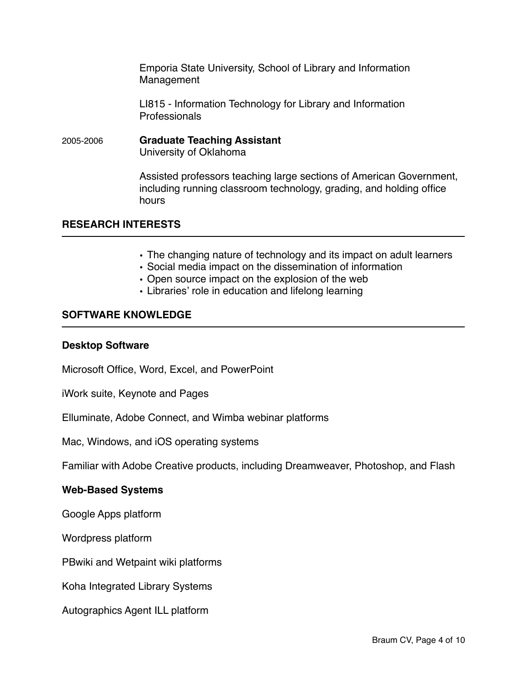Emporia State University, School of Library and Information Management

LI815 - Information Technology for Library and Information Professionals

2005-2006 **Graduate Teaching Assistant** University of Oklahoma

> Assisted professors teaching large sections of American Government, including running classroom technology, grading, and holding office hours

#### **RESEARCH INTERESTS**

- The changing nature of technology and its impact on adult learners
- Social media impact on the dissemination of information
- Open source impact on the explosion of the web
- Libraries' role in education and lifelong learning

#### **SOFTWARE KNOWLEDGE**

#### **Desktop Software**

Microsoft Office, Word, Excel, and PowerPoint

iWork suite, Keynote and Pages

Elluminate, Adobe Connect, and Wimba webinar platforms

Mac, Windows, and iOS operating systems

Familiar with Adobe Creative products, including Dreamweaver, Photoshop, and Flash

#### **Web-Based Systems**

Google Apps platform

Wordpress platform

PBwiki and Wetpaint wiki platforms

Koha Integrated Library Systems

Autographics Agent ILL platform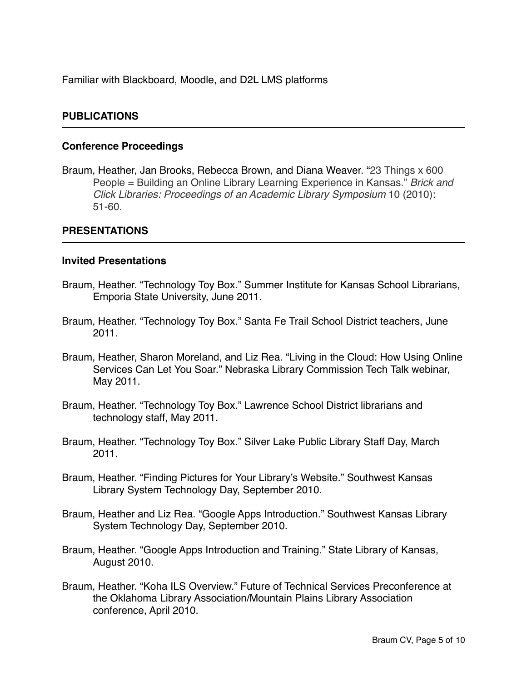Familiar with Blackboard, Moodle, and D2L LMS platforms

#### **PUBLICATIONS**

#### **Conference Proceedings**

Braum, Heather, Jan Brooks, Rebecca Brown, and Diana Weaver. "23 Things x 600 People = Building an Online Library Learning Experience in Kansas." *Brick and Click Libraries: Proceedings of an Academic Library Symposium* 10 (2010): 51-60.

#### **PRESENTATIONS**

#### **Invited Presentations**

- Braum, Heather. "Technology Toy Box." Summer Institute for Kansas School Librarians, Emporia State University, June 2011.
- Braum, Heather. "Technology Toy Box." Santa Fe Trail School District teachers, June 2011.
- Braum, Heather, Sharon Moreland, and Liz Rea. "Living in the Cloud: How Using Online Services Can Let You Soar." Nebraska Library Commission Tech Talk webinar, May 2011.
- Braum, Heather. "Technology Toy Box." Lawrence School District librarians and technology staff, May 2011.
- Braum, Heather. "Technology Toy Box." Silver Lake Public Library Staff Day, March 2011.
- Braum, Heather. "Finding Pictures for Your Library's Website." Southwest Kansas Library System Technology Day, September 2010.
- Braum, Heather and Liz Rea. "Google Apps Introduction." Southwest Kansas Library System Technology Day, September 2010.
- Braum, Heather. "Google Apps Introduction and Training." State Library of Kansas, August 2010.
- Braum, Heather. "Koha ILS Overview." Future of Technical Services Preconference at the Oklahoma Library Association/Mountain Plains Library Association conference, April 2010.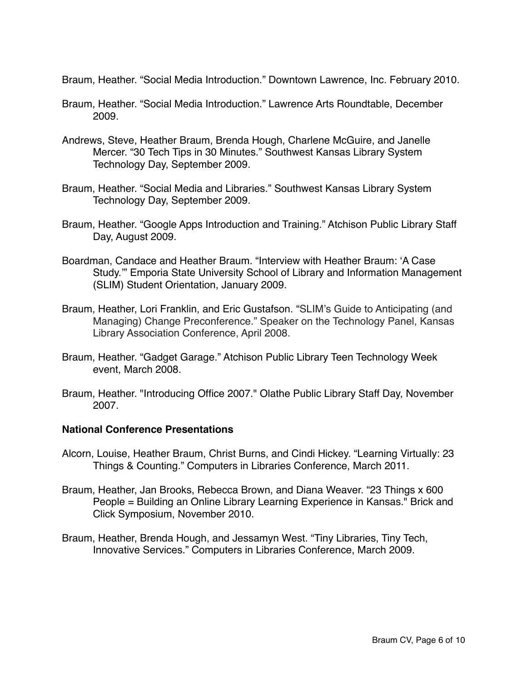Braum, Heather. "Social Media Introduction." Downtown Lawrence, Inc. February 2010.

- Braum, Heather. "Social Media Introduction." Lawrence Arts Roundtable, December 2009.
- Andrews, Steve, Heather Braum, Brenda Hough, Charlene McGuire, and Janelle Mercer. "30 Tech Tips in 30 Minutes." Southwest Kansas Library System Technology Day, September 2009.
- Braum, Heather. "Social Media and Libraries." Southwest Kansas Library System Technology Day, September 2009.
- Braum, Heather. "Google Apps Introduction and Training." Atchison Public Library Staff Day, August 2009.
- Boardman, Candace and Heather Braum. "Interview with Heather Braum: ʻA Case Study.'" Emporia State University School of Library and Information Management (SLIM) Student Orientation, January 2009.
- Braum, Heather, Lori Franklin, and Eric Gustafson. "SLIM's Guide to Anticipating (and Managing) Change Preconference." Speaker on the Technology Panel, Kansas Library Association Conference, April 2008.
- Braum, Heather. "Gadget Garage." Atchison Public Library Teen Technology Week event, March 2008.
- Braum, Heather. "Introducing Office 2007." Olathe Public Library Staff Day, November 2007.

#### **National Conference Presentations**

- Alcorn, Louise, Heather Braum, Christ Burns, and Cindi Hickey. "Learning Virtually: 23 Things & Counting." Computers in Libraries Conference, March 2011.
- Braum, Heather, Jan Brooks, Rebecca Brown, and Diana Weaver. "23 Things x 600 People = Building an Online Library Learning Experience in Kansas." Brick and Click Symposium, November 2010.
- Braum, Heather, Brenda Hough, and Jessamyn West. "Tiny Libraries, Tiny Tech, Innovative Services." Computers in Libraries Conference, March 2009.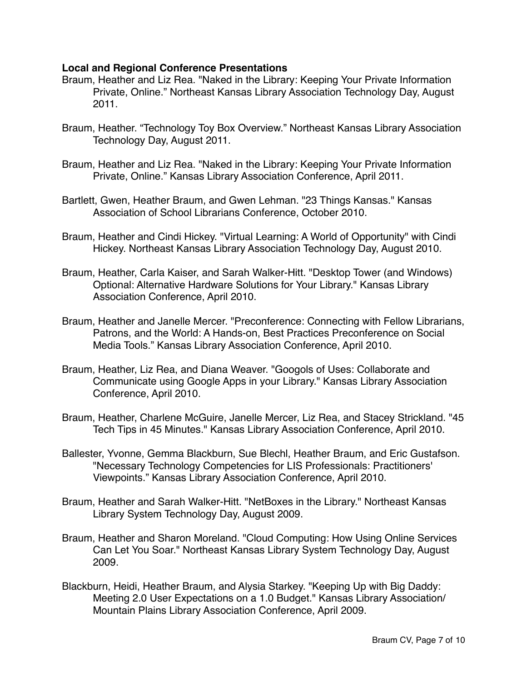#### **Local and Regional Conference Presentations**

- Braum, Heather and Liz Rea. "Naked in the Library: Keeping Your Private Information Private, Online." Northeast Kansas Library Association Technology Day, August 2011.
- Braum, Heather. "Technology Toy Box Overview." Northeast Kansas Library Association Technology Day, August 2011.
- Braum, Heather and Liz Rea. "Naked in the Library: Keeping Your Private Information Private, Online." Kansas Library Association Conference, April 2011.
- Bartlett, Gwen, Heather Braum, and Gwen Lehman. "23 Things Kansas." Kansas Association of School Librarians Conference, October 2010.
- Braum, Heather and Cindi Hickey. "Virtual Learning: A World of Opportunity" with Cindi Hickey. Northeast Kansas Library Association Technology Day, August 2010.
- Braum, Heather, Carla Kaiser, and Sarah Walker-Hitt. "Desktop Tower (and Windows) Optional: Alternative Hardware Solutions for Your Library." Kansas Library Association Conference, April 2010.
- Braum, Heather and Janelle Mercer. "Preconference: Connecting with Fellow Librarians, Patrons, and the World: A Hands-on, Best Practices Preconference on Social Media Tools." Kansas Library Association Conference, April 2010.
- Braum, Heather, Liz Rea, and Diana Weaver. "Googols of Uses: Collaborate and Communicate using Google Apps in your Library." Kansas Library Association Conference, April 2010.
- Braum, Heather, Charlene McGuire, Janelle Mercer, Liz Rea, and Stacey Strickland. "45 Tech Tips in 45 Minutes." Kansas Library Association Conference, April 2010.
- Ballester, Yvonne, Gemma Blackburn, Sue Blechl, Heather Braum, and Eric Gustafson. "Necessary Technology Competencies for LIS Professionals: Practitioners' Viewpoints." Kansas Library Association Conference, April 2010.
- Braum, Heather and Sarah Walker-Hitt. "NetBoxes in the Library." Northeast Kansas Library System Technology Day, August 2009.
- Braum, Heather and Sharon Moreland. "Cloud Computing: How Using Online Services Can Let You Soar." Northeast Kansas Library System Technology Day, August 2009.
- Blackburn, Heidi, Heather Braum, and Alysia Starkey. "Keeping Up with Big Daddy: Meeting 2.0 User Expectations on a 1.0 Budget." Kansas Library Association/ Mountain Plains Library Association Conference, April 2009.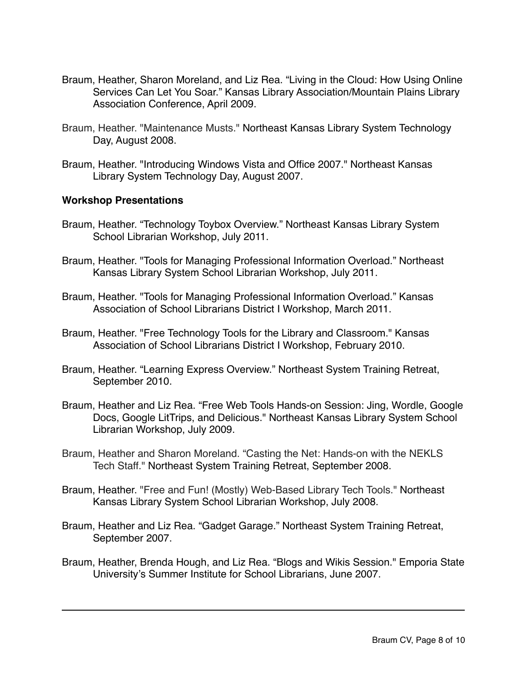- Braum, Heather, Sharon Moreland, and Liz Rea. "Living in the Cloud: How Using Online Services Can Let You Soar." Kansas Library Association/Mountain Plains Library Association Conference, April 2009.
- Braum, Heather. "Maintenance Musts." Northeast Kansas Library System Technology Day, August 2008.
- Braum, Heather. "Introducing Windows Vista and Office 2007." Northeast Kansas Library System Technology Day, August 2007.

#### **Workshop Presentations**

- Braum, Heather. "Technology Toybox Overview." Northeast Kansas Library System School Librarian Workshop, July 2011.
- Braum, Heather. "Tools for Managing Professional Information Overload." Northeast Kansas Library System School Librarian Workshop, July 2011.
- Braum, Heather. "Tools for Managing Professional Information Overload." Kansas Association of School Librarians District I Workshop, March 2011.
- Braum, Heather. "Free Technology Tools for the Library and Classroom." Kansas Association of School Librarians District I Workshop, February 2010.
- Braum, Heather. "Learning Express Overview." Northeast System Training Retreat, September 2010.
- Braum, Heather and Liz Rea. "Free Web Tools Hands-on Session: Jing, Wordle, Google Docs, Google LitTrips, and Delicious." Northeast Kansas Library System School Librarian Workshop, July 2009.
- Braum, Heather and Sharon Moreland. "Casting the Net: Hands-on with the NEKLS Tech Staff." Northeast System Training Retreat, September 2008.
- Braum, Heather. "Free and Fun! (Mostly) Web-Based Library Tech Tools." Northeast Kansas Library System School Librarian Workshop, July 2008.
- Braum, Heather and Liz Rea. "Gadget Garage." Northeast System Training Retreat, September 2007.
- Braum, Heather, Brenda Hough, and Liz Rea. "Blogs and Wikis Session." Emporia State University's Summer Institute for School Librarians, June 2007.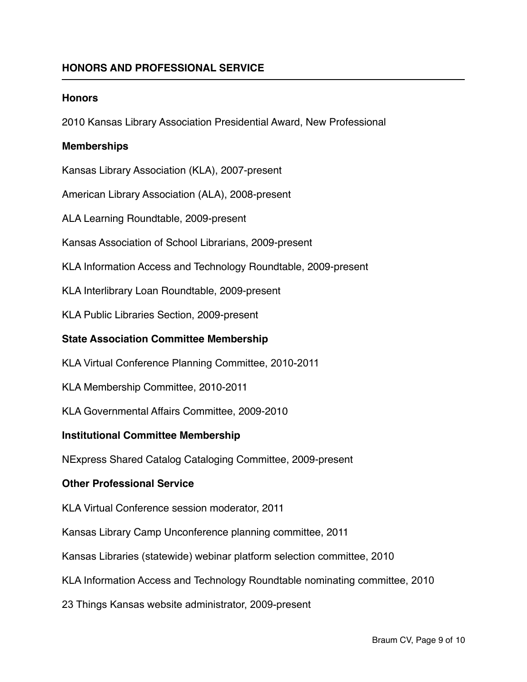## **HONORS AND PROFESSIONAL SERVICE**

#### **Honors**

2010 Kansas Library Association Presidential Award, New Professional

#### **Memberships**

Kansas Library Association (KLA), 2007-present

American Library Association (ALA), 2008-present

ALA Learning Roundtable, 2009-present

Kansas Association of School Librarians, 2009-present

KLA Information Access and Technology Roundtable, 2009-present

KLA Interlibrary Loan Roundtable, 2009-present

KLA Public Libraries Section, 2009-present

#### **State Association Committee Membership**

KLA Virtual Conference Planning Committee, 2010-2011

KLA Membership Committee, 2010-2011

KLA Governmental Affairs Committee, 2009-2010

#### **Institutional Committee Membership**

NExpress Shared Catalog Cataloging Committee, 2009-present

#### **Other Professional Service**

KLA Virtual Conference session moderator, 2011

Kansas Library Camp Unconference planning committee, 2011

Kansas Libraries (statewide) webinar platform selection committee, 2010

KLA Information Access and Technology Roundtable nominating committee, 2010

23 Things Kansas website administrator, 2009-present